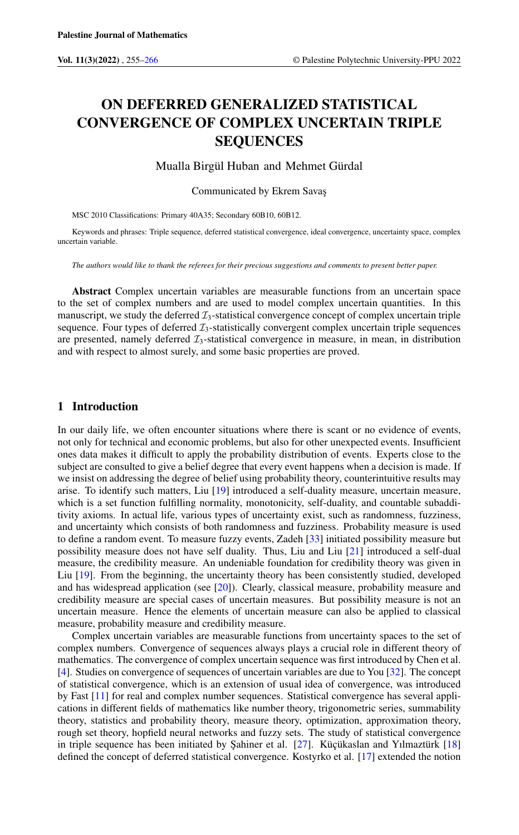# ON DEFERRED GENERALIZED STATISTICAL CONVERGENCE OF COMPLEX UNCERTAIN TRIPLE SEQUENCES

Mualla Birgül Huban and Mehmet Gürdal

Communicated by Ekrem Savas

MSC 2010 Classifications: Primary 40A35; Secondary 60B10, 60B12.

Keywords and phrases: Triple sequence, deferred statistical convergence, ideal convergence, uncertainty space, complex uncertain variable.

*The authors would like to thank the referees for their precious suggestions and comments to present better paper.*

Abstract Complex uncertain variables are measurable functions from an uncertain space to the set of complex numbers and are used to model complex uncertain quantities. In this manuscript, we study the deferred  $\mathcal{I}_3$ -statistical convergence concept of complex uncertain triple sequence. Four types of deferred  $\mathcal{I}_3$ -statistically convergent complex uncertain triple sequences are presented, namely deferred  $\mathcal{I}_3$ -statistical convergence in measure, in mean, in distribution and with respect to almost surely, and some basic properties are proved.

# 1 Introduction

In our daily life, we often encounter situations where there is scant or no evidence of events, not only for technical and economic problems, but also for other unexpected events. Insufficient ones data makes it difficult to apply the probability distribution of events. Experts close to the subject are consulted to give a belief degree that every event happens when a decision is made. If we insist on addressing the degree of belief using probability theory, counterintuitive results may arise. To identify such matters, Liu [\[19\]](#page-11-0) introduced a self-duality measure, uncertain measure, which is a set function fulfilling normality, monotonicity, self-duality, and countable subadditivity axioms. In actual life, various types of uncertainty exist, such as randomness, fuzziness, and uncertainty which consists of both randomness and fuzziness. Probability measure is used to define a random event. To measure fuzzy events, Zadeh [\[33\]](#page-11-1) initiated possibility measure but possibility measure does not have self duality. Thus, Liu and Liu [\[21\]](#page-11-2) introduced a self-dual measure, the credibility measure. An undeniable foundation for credibility theory was given in Liu [\[19\]](#page-11-0). From the beginning, the uncertainty theory has been consistently studied, developed and has widespread application (see [\[20\]](#page-11-3)). Clearly, classical measure, probability measure and credibility measure are special cases of uncertain measures. But possibility measure is not an uncertain measure. Hence the elements of uncertain measure can also be applied to classical measure, probability measure and credibility measure.

Complex uncertain variables are measurable functions from uncertainty spaces to the set of complex numbers. Convergence of sequences always plays a crucial role in different theory of mathematics. The convergence of complex uncertain sequence was first introduced by Chen et al. [\[4\]](#page-10-1). Studies on convergence of sequences of uncertain variables are due to You [\[32\]](#page-11-4). The concept of statistical convergence, which is an extension of usual idea of convergence, was introduced by Fast [\[11\]](#page-11-5) for real and complex number sequences. Statistical convergence has several applications in different fields of mathematics like number theory, trigonometric series, summability theory, statistics and probability theory, measure theory, optimization, approximation theory, rough set theory, hopfield neural networks and fuzzy sets. The study of statistical convergence in triple sequence has been initiated by Şahiner et al. [\[27\]](#page-11-6). Küçükaslan and Yılmaztürk [\[18\]](#page-11-7) defined the concept of deferred statistical convergence. Kostyrko et al. [\[17\]](#page-11-8) extended the notion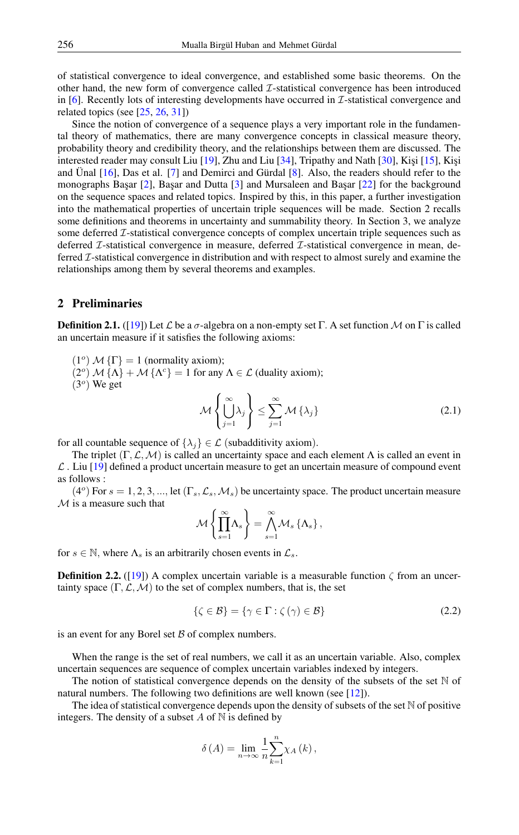of statistical convergence to ideal convergence, and established some basic theorems. On the other hand, the new form of convergence called I-statistical convergence has been introduced in  $[6]$ . Recently lots of interesting developments have occurred in  $\mathcal{I}$ -statistical convergence and related topics (see  $[25, 26, 31]$  $[25, 26, 31]$  $[25, 26, 31]$  $[25, 26, 31]$  $[25, 26, 31]$ )

Since the notion of convergence of a sequence plays a very important role in the fundamental theory of mathematics, there are many convergence concepts in classical measure theory, probability theory and credibility theory, and the relationships between them are discussed. The interested reader may consult Liu  $[19]$ , Zhu and Liu  $[34]$ , Tripathy and Nath  $[30]$ , Kişi  $[15]$ , Kişi and Ünal [\[16\]](#page-11-16), Das et al. [\[7\]](#page-11-17) and Demirci and Gürdal [\[8\]](#page-11-18). Also, the readers should refer to the monographs Başar  $[2]$ , Başar and Dutta  $[3]$  and Mursaleen and Başar  $[22]$  for the background on the sequence spaces and related topics. Inspired by this, in this paper, a further investigation into the mathematical properties of uncertain triple sequences will be made. Section 2 recalls some definitions and theorems in uncertainty and summability theory. In Section 3, we analyze some deferred *I*-statistical convergence concepts of complex uncertain triple sequences such as deferred *T*-statistical convergence in measure, deferred *T*-statistical convergence in mean, deferred I-statistical convergence in distribution and with respect to almost surely and examine the relationships among them by several theorems and examples.

### 2 Preliminaries

**Definition 2.1.** ([\[19\]](#page-11-0)) Let L be a  $\sigma$ -algebra on a non-empty set  $\Gamma$ . A set function M on  $\Gamma$  is called an uncertain measure if it satisfies the following axioms:

 $(1^{\circ})$  M { $\Gamma$ } = 1 (normality axiom);

(2<sup>o</sup>)  $M$  { $\Lambda$ } +  $M$  { $\Lambda$ <sup>c</sup>} = 1 for any  $\Lambda \in \mathcal{L}$  (duality axiom);

 $(3<sup>o</sup>)$  We get

$$
\mathcal{M}\left\{\bigcup_{j=1}^{\infty}\lambda_j\right\} \leq \sum_{j=1}^{\infty}\mathcal{M}\left\{\lambda_j\right\} \tag{2.1}
$$

for all countable sequence of  $\{\lambda_j\} \in \mathcal{L}$  (subadditivity axiom).

The triplet  $(\Gamma, \mathcal{L}, \mathcal{M})$  is called an uncertainty space and each element  $\Lambda$  is called an event in  $\mathcal L$ . Liu [\[19\]](#page-11-0) defined a product uncertain measure to get an uncertain measure of compound event as follows :

 $(4^o)$  For  $s = 1, 2, 3, ...,$  let  $(\Gamma_s, \mathcal{L}_s, \mathcal{M}_s)$  be uncertainty space. The product uncertain measure  $M$  is a measure such that

$$
\mathcal{M}\left\{\prod_{s=1}^{\infty} \Lambda_s\right\} = \bigwedge_{s=1}^{\infty} \mathcal{M}_s\left\{\Lambda_s\right\},\
$$

for  $s \in \mathbb{N}$ , where  $\Lambda_s$  is an arbitrarily chosen events in  $\mathcal{L}_s$ .

**Definition 2.2.** ([\[19\]](#page-11-0)) A complex uncertain variable is a measurable function  $\zeta$  from an uncertainty space  $(\Gamma, \mathcal{L}, \mathcal{M})$  to the set of complex numbers, that is, the set

$$
\{\zeta \in \mathcal{B}\} = \{\gamma \in \Gamma : \zeta(\gamma) \in \mathcal{B}\}\tag{2.2}
$$

is an event for any Borel set  $\beta$  of complex numbers.

When the range is the set of real numbers, we call it as an uncertain variable. Also, complex uncertain sequences are sequence of complex uncertain variables indexed by integers.

The notion of statistical convergence depends on the density of the subsets of the set  $\mathbb N$  of natural numbers. The following two definitions are well known (see [\[12\]](#page-11-20)).

The idea of statistical convergence depends upon the density of subsets of the set  $\mathbb N$  of positive integers. The density of a subset  $A$  of  $N$  is defined by

$$
\delta\left(A\right) = \lim_{n \to \infty} \frac{1}{n} \sum_{k=1}^{n} \chi_A\left(k\right),
$$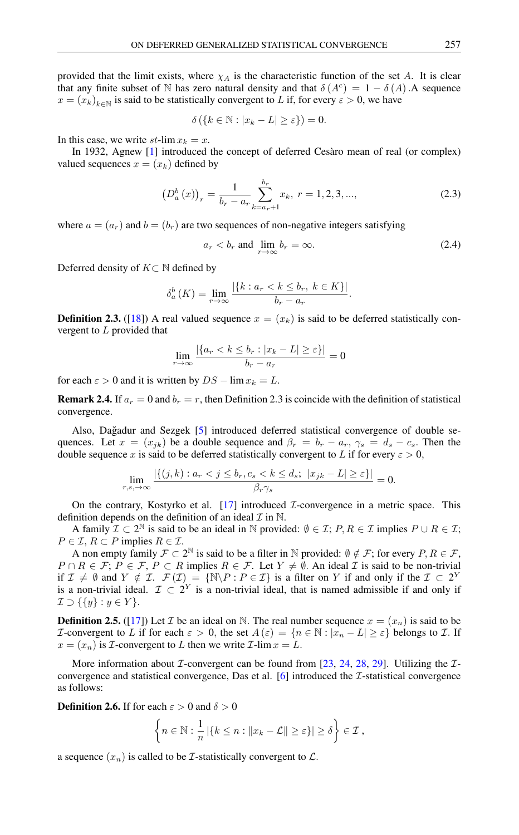provided that the limit exists, where  $\chi_A$  is the characteristic function of the set A. It is clear that any finite subset of N has zero natural density and that  $\delta(A^c) = 1 - \delta(A)$ . A sequence  $x = (x_k)_{k \in \mathbb{N}}$  is said to be statistically convergent to L if, for every  $\varepsilon > 0$ , we have

$$
\delta\left(\left\{k\in\mathbb{N}:|x_k-L|\geq\varepsilon\right\}\right)=0.
$$

In this case, we write  $st$ -lim  $x_k = x$ .

In 1932, Agnew [\[1\]](#page-10-4) introduced the concept of deferred Cesàro mean of real (or complex) valued sequences  $x = (x_k)$  defined by

$$
\left(D_a^b\left(x\right)\right)_r = \frac{1}{b_r - a_r} \sum_{k=a_r+1}^{b_r} x_k, \ r = 1, 2, 3, \dots,\tag{2.3}
$$

where  $a = (a_r)$  and  $b = (b_r)$  are two sequences of non-negative integers satisfying

$$
a_r < b_r \text{ and } \lim_{r \to \infty} b_r = \infty. \tag{2.4}
$$

Deferred density of  $K \subset \mathbb{N}$  defined by

$$
\delta_a^b(K) = \lim_{r \to \infty} \frac{|\{k : a_r < k \le b_r, \ k \in K\}|}{b_r - a_r}.
$$

**Definition 2.3.** ([\[18\]](#page-11-7)) A real valued sequence  $x = (x_k)$  is said to be deferred statistically convergent to L provided that

$$
\lim_{r \to \infty} \frac{|\{a_r < k \le b_r : |x_k - L| \ge \varepsilon\}|}{b_r - a_r} = 0
$$

for each  $\varepsilon > 0$  and it is written by  $DS - \lim x_k = L$ .

**Remark 2.4.** If  $a_r = 0$  and  $b_r = r$ , then Definition 2.3 is coincide with the definition of statistical convergence.

Also, Dağadur and Sezgek [[5\]](#page-10-5) introduced deferred statistical convergence of double sequences. Let  $x = (x_{jk})$  be a double sequence and  $\beta_r = b_r - a_r$ ,  $\gamma_s = d_s - c_s$ . Then the double sequence x is said to be deferred statistically convergent to L if for every  $\varepsilon > 0$ ,

$$
\lim_{r,s,\to\infty} \frac{|\{(j,k): a_r < j \le b_r, c_s < k \le d_s; \ |x_{jk} - L| \ge \varepsilon\}|}{\beta_r \gamma_s} = 0.
$$

On the contrary, Kostyrko et al.  $[17]$  introduced *I*-convergence in a metric space. This definition depends on the definition of an ideal  $\mathcal I$  in  $\mathbb N$ .

A family  $\mathcal{I} \subset 2^{\mathbb{N}}$  is said to be an ideal in  $\mathbb{N}$  provided:  $\emptyset \in \mathcal{I}; P, R \in \mathcal{I}$  implies  $P \cup R \in \mathcal{I};$  $P \in \mathcal{I}, R \subset P$  implies  $R \in \mathcal{I}.$ 

A non empty family  $\mathcal{F} \subset 2^{\mathbb{N}}$  is said to be a filter in  $\mathbb{N}$  provided:  $\emptyset \notin \mathcal{F}$ ; for every  $P, R \in \mathcal{F}$ ,  $P \cap R \in \mathcal{F}; P \in \mathcal{F}, P \subset R$  implies  $R \in \mathcal{F}$ . Let  $Y \neq \emptyset$ . An ideal  $\mathcal{I}$  is said to be non-trivial if  $\mathcal{I} \neq \emptyset$  and  $Y \notin \mathcal{I}$ .  $\mathcal{F}(\mathcal{I}) = \{ \mathbb{N} \backslash P : P \in \mathcal{I} \}$  is a filter on Y if and only if the  $\mathcal{I} \subset 2^Y$ is a non-trivial ideal.  $\mathcal{I} \subset 2^Y$  is a non-trivial ideal, that is named admissible if and only if  $\mathcal{I} \supset \{\{y\} : y \in Y\}.$ 

**Definition 2.5.** ([\[17\]](#page-11-8)) Let *I* be an ideal on N. The real number sequence  $x = (x_n)$  is said to be *I*-convergent to L if for each  $\varepsilon > 0$ , the set  $A(\varepsilon) = \{n \in \mathbb{N} : |x_n - L| \geq \varepsilon\}$  belongs to L. If  $x = (x_n)$  is *I*-convergent to *L* then we write *I*-lim  $x = L$ .

More information about *I*-convergent can be found from [\[23,](#page-11-21) [24,](#page-11-22) [28,](#page-11-23) [29\]](#page-11-24). Utilizing the *I*convergence and statistical convergence, Das et al.  $[6]$  introduced the *I*-statistical convergence as follows:

**Definition 2.6.** If for each  $\varepsilon > 0$  and  $\delta > 0$ 

$$
\left\{ n \in \mathbb{N} : \frac{1}{n} \left| \{ k \leq n : ||x_k - \mathcal{L}|| \geq \varepsilon \} \right| \geq \delta \right\} \in \mathcal{I},
$$

a sequence  $(x_n)$  is called to be *I*-statistically convergent to *L*.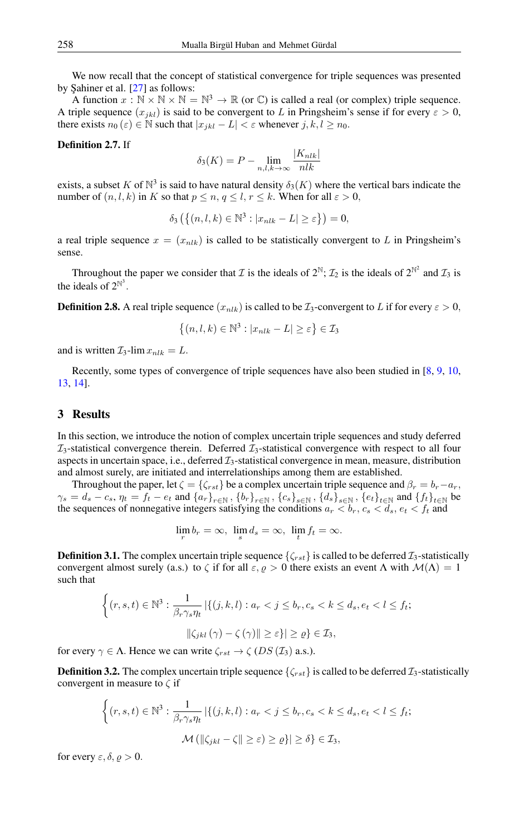We now recall that the concept of statistical convergence for triple sequences was presented by Şahiner et al.  $[27]$  as follows:

A function  $x : \mathbb{N} \times \mathbb{N} \times \mathbb{N} = \mathbb{N}^3 \to \mathbb{R}$  (or  $\mathbb{C}$ ) is called a real (or complex) triple sequence. A triple sequence  $(x_{jkl})$  is said to be convergent to L in Pringsheim's sense if for every  $\varepsilon > 0$ , there exists  $n_0(\varepsilon) \in \mathbb{N}$  such that  $|x_{ikl} - L| < \varepsilon$  whenever  $j, k, l \geq n_0$ .

#### Definition 2.7. If

$$
\delta_3(K) = P - \lim_{n,l,k \to \infty} \frac{|K_{nlk}|}{nlk}
$$

exists, a subset K of  $\mathbb{N}^3$  is said to have natural density  $\delta_3(K)$  where the vertical bars indicate the number of  $(n, l, k)$  in K so that  $p \le n, q \le l, r \le k$ . When for all  $\varepsilon > 0$ ,

$$
\delta_3\left(\left\{(n,l,k)\in\mathbb{N}^3 : |x_{nlk}-L|\geq \varepsilon\right\}\right)=0,
$$

a real triple sequence  $x = (x_{nlk})$  is called to be statistically convergent to L in Pringsheim's sense.

Throughout the paper we consider that  $\mathcal I$  is the ideals of  $2^{\mathbb N}$ ;  $\mathcal I_2$  is the ideals of  $2^{\mathbb N^2}$  and  $\mathcal I_3$  is the ideals of  $2^{\mathbb{N}^3}$ .

**Definition 2.8.** A real triple sequence  $(x_{nlk})$  is called to be  $\mathcal{I}_3$ -convergent to L if for every  $\varepsilon > 0$ ,

$$
\{(n, l, k) \in \mathbb{N}^3 : |x_{nlk} - L| \ge \varepsilon\} \in \mathcal{I}_3
$$

and is written  $\mathcal{I}_3$ -lim  $x_{nlk} = L$ .

Recently, some types of convergence of triple sequences have also been studied in [\[8,](#page-11-18) [9,](#page-11-25) [10,](#page-11-26) [13,](#page-11-27) [14\]](#page-11-28).

#### 3 Results

In this section, we introduce the notion of complex uncertain triple sequences and study deferred  $\mathcal{I}_3$ -statistical convergence therein. Deferred  $\mathcal{I}_3$ -statistical convergence with respect to all four aspects in uncertain space, i.e., deferred  $\mathcal{I}_3$ -statistical convergence in mean, measure, distribution and almost surely, are initiated and interrelationships among them are established.

Throughout the paper, let  $\zeta = {\zeta_{rst}}$  be a complex uncertain triple sequence and  $\beta_r = b_r - a_r$ ,  $\gamma_s = d_s - c_s$ ,  $\eta_t = f_t - e_t$  and  $\{a_r\}_{r \in \mathbb{N}}$ ,  $\{b_r\}_{r \in \mathbb{N}}$ ,  $\{c_s\}_{s \in \mathbb{N}}$ ,  $\{d_s\}_{s \in \mathbb{N}}$ ,  $\{e_t\}_{t \in \mathbb{N}}$  and  $\{f_t\}_{t \in \mathbb{N}}$  be the sequences of nonnegative integers satisfying the conditions  $a_r < b_r, c_s < d_s, e_t < f_t$  and

$$
\lim_{r} b_r = \infty, \ \lim_{s} d_s = \infty, \ \lim_{t} f_t = \infty.
$$

**Definition 3.1.** The complex uncertain triple sequence  $\{\zeta_{rst}\}\$ is called to be deferred  $\mathcal{I}_3$ -statistically convergent almost surely (a.s.) to  $\zeta$  if for all  $\varepsilon, \varrho > 0$  there exists an event  $\Lambda$  with  $\mathcal{M}(\Lambda) = 1$ such that

$$
\left\{ (r, s, t) \in \mathbb{N}^3 : \frac{1}{\beta_r \gamma_s \eta_t} \left| \left\{ (j, k, l) : a_r < j \le b_r, c_s < k \le d_s, e_t < l \le f_t; \right\right\} \right\}
$$
\n
$$
\|\zeta_{jkl}(\gamma) - \zeta(\gamma)\| \ge \varepsilon \} \le \varrho \} \in \mathcal{I}_3,
$$

for every  $\gamma \in \Lambda$ . Hence we can write  $\zeta_{rst} \to \zeta$  (DS ( $\mathcal{I}_3$ ) a.s.).

**Definition 3.2.** The complex uncertain triple sequence  $\{\zeta_{rst}\}$  is called to be deferred  $\mathcal{I}_3$ -statistically convergent in measure to  $\zeta$  if

$$
\begin{aligned} \left\{ (r,s,t) \in \mathbb{N}^3 : \frac{1}{\beta_r \gamma_s \eta_t} \left| \left\{ (j,k,l) : a_r < j \le b_r, c_s < k \le d_s, e_t < l \le f_t; \right. \right. \\ \left. \mathcal{M} \left( \left\| \zeta_{jkl} - \zeta \right\| \ge \varepsilon \right) > \varrho \right\} \left| \ge \delta \right\} &\in \mathcal{I}_3, \end{aligned}
$$

for every  $\varepsilon, \delta, \varrho > 0$ .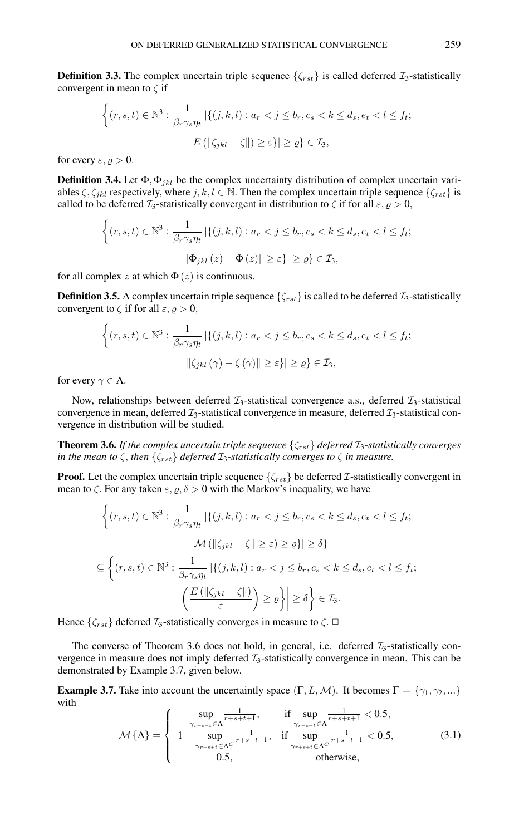**Definition 3.3.** The complex uncertain triple sequence  $\{\zeta_{rst}\}\$  is called deferred  $\mathcal{I}_3$ -statistically convergent in mean to  $\zeta$  if

$$
\left\{ (r, s, t) \in \mathbb{N}^3 : \frac{1}{\beta_r \gamma_s \eta_t} \left| \{ (j, k, l) : a_r < j \le b_r, c_s < k \le d_s, e_t < l \le f_t; \right. \right.
$$

$$
E \left( \|\zeta_{jkl} - \zeta\| \right) \ge \varepsilon \} \left| \ge \varrho \right\} \in \mathcal{I}_3,
$$

for every  $\varepsilon, \varrho > 0$ .

**Definition 3.4.** Let  $\Phi$ ,  $\Phi$ <sub>*ikl*</sub> be the complex uncertainty distribution of complex uncertain variables  $\zeta$ ,  $\zeta_{jkl}$  respectively, where  $j, k, l \in \mathbb{N}$ . Then the complex uncertain triple sequence  $\{\zeta_{rst}\}$  is called to be deferred  $\mathcal{I}_3$ -statistically convergent in distribution to  $\zeta$  if for all  $\varepsilon, \varrho > 0$ ,

$$
\left\{ (r, s, t) \in \mathbb{N}^3 : \frac{1}{\beta_r \gamma_s \eta_t} \left| \left\{ (j, k, l) : a_r < j \le b_r, c_s < k \le d_s, e_t < l \le f_t; \right\right\} \right\}
$$
\n
$$
\|\Phi_{jkl}(z) - \Phi(z)\| \ge \varepsilon \} \ge \varrho \} \in \mathcal{I}_3,
$$

for all complex z at which  $\Phi(z)$  is continuous.

**Definition 3.5.** A complex uncertain triple sequence  $\{\zeta_{rst}\}\$ is called to be deferred  $\mathcal{I}_3$ -statistically convergent to  $\zeta$  if for all  $\varepsilon, \varrho > 0$ ,

$$
\left\{ (r, s, t) \in \mathbb{N}^3 : \frac{1}{\beta_r \gamma_s \eta_t} \left| \left\{ (j, k, l) : a_r < j \le b_r, c_s < k \le d_s, e_t < l \le f_t; \right\} \right| \right\}
$$
\n
$$
\left\| \zeta_{jkl} \left( \gamma \right) - \zeta \left( \gamma \right) \right\| \ge \varepsilon \right\} \left| \ge \varrho \right\} \in \mathcal{I}_3,
$$

for every  $\gamma \in \Lambda$ .

Now, relationships between deferred  $\mathcal{I}_3$ -statistical convergence a.s., deferred  $\mathcal{I}_3$ -statistical convergence in mean, deferred  $\mathcal{I}_3$ -statistical convergence in measure, deferred  $\mathcal{I}_3$ -statistical convergence in distribution will be studied.

**Theorem 3.6.** *If the complex uncertain triple sequence*  $\{\zeta_{rst}\}$  *deferred*  $\mathcal{I}_3$ *-statistically converges in the mean to*  $\zeta$ , *then*  $\{\zeta_{rst}\}$  *deferred*  $\mathcal{I}_3$ -statistically converges to  $\zeta$  *in measure.* 

**Proof.** Let the complex uncertain triple sequence  $\{\zeta_{rst}\}$  be deferred *I*-statistically convergent in mean to  $\zeta$ . For any taken  $\varepsilon, \varrho, \delta > 0$  with the Markov's inequality, we have

$$
\left\{ (r, s, t) \in \mathbb{N}^3 : \frac{1}{\beta_r \gamma_s \eta_t} \left| \left\{ (j, k, l) : a_r < j \le b_r, c_s < k \le d_s, e_t < l \le f_t; \right. \right. \right. \right\}
$$
\n
$$
\mathcal{M} \left( \|\zeta_{jkl} - \zeta\| \ge \varepsilon \right) \ge \varrho \} \left| \ge \delta \right\}
$$
\n
$$
\subseteq \left\{ (r, s, t) \in \mathbb{N}^3 : \frac{1}{\beta_r \gamma_s \eta_t} \left| \left\{ (j, k, l) : a_r < j \le b_r, c_s < k \le d_s, e_t < l \le f_t; \right. \right. \right. \right\}
$$
\n
$$
\left( \frac{E \left( \|\zeta_{jkl} - \zeta\|\right)}{\varepsilon} \right) \ge \varrho \right\} \left| \ge \delta \right\} \in \mathcal{I}_3.
$$

Hence  $\{\zeta_{rst}\}\$  deferred  $\mathcal{I}_3$ -statistically converges in measure to  $\zeta$ .  $\Box$ 

The converse of Theorem 3.6 does not hold, in general, i.e. deferred  $\mathcal{I}_3$ -statistically convergence in measure does not imply deferred  $\mathcal{I}_3$ -statistically convergence in mean. This can be demonstrated by Example 3.7, given below.

**Example 3.7.** Take into account the uncertaintly space  $(\Gamma, L, \mathcal{M})$ . It becomes  $\Gamma = \{\gamma_1, \gamma_2, ...\}$ with

$$
\mathcal{M}\{\Lambda\} = \begin{cases}\n\sup_{\gamma_{r+s+t} \in \Lambda} \frac{1}{r+s+t+1}, & \text{if } \sup_{\gamma_{r+s+t} \in \Lambda} \frac{1}{r+s+t+1} < 0.5, \\
1 - \sup_{\gamma_{r+s+t} \in \Lambda^C} \frac{1}{r+s+t+1}, & \text{if } \sup_{\gamma_{r+s+t} \in \Lambda^C} \frac{1}{r+s+t+1} < 0.5, \\
0.5, & \text{otherwise,} \n\end{cases} (3.1)
$$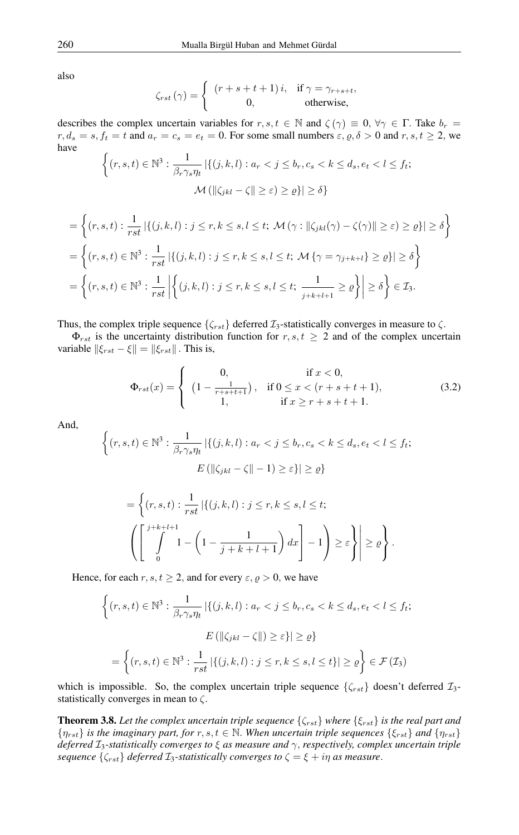also

$$
\zeta_{rst}(\gamma) = \begin{cases} (r+s+t+1)i, & \text{if } \gamma = \gamma_{r+s+t}, \\ 0, & \text{otherwise}, \end{cases}
$$

describes the complex uncertain variables for  $r, s, t \in \mathbb{N}$  and  $\zeta(\gamma) \equiv 0, \forall \gamma \in \Gamma$ . Take  $b_r =$  $r, d_s = s, f_t = t$  and  $a_r = c_s = e_t = 0$ . For some small numbers  $\varepsilon, \varrho, \delta > 0$  and  $r, s, t \ge 2$ , we have

$$
\left\{ (r, s, t) \in \mathbb{N}^3 : \frac{1}{\beta_r \gamma_s \eta_t} \left| \{ (j, k, l) : a_r < j \le b_r, c_s < k \le d_s, e_t < l \le f_t; \right. \right. \\ \left. \mathcal{M} \left( \left\| \zeta_{jkl} - \zeta \right\| \ge \varepsilon \right) \ge \varrho \} \right| \ge \delta \right\}
$$

$$
= \left\{ (r, s, t) : \frac{1}{rst} \left| \left\{ (j, k, l) : j \leq r, k \leq s, l \leq t; \mathcal{M}(\gamma : ||\zeta_{jkl}(\gamma) - \zeta(\gamma)|| \geq \varepsilon) \geq \varrho \right\} \right| \geq \delta \right\}
$$
  

$$
= \left\{ (r, s, t) \in \mathbb{N}^3 : \frac{1}{rst} \left| \left\{ (j, k, l) : j \leq r, k \leq s, l \leq t; \mathcal{M} \{ \gamma = \gamma_{j+k+l} \} \geq \varrho \right\} \right| \geq \delta \right\}
$$
  

$$
= \left\{ (r, s, t) \in \mathbb{N}^3 : \frac{1}{rst} \left| \left\{ (j, k, l) : j \leq r, k \leq s, l \leq t; \frac{1}{j+k+l+1} \geq \varrho \right\} \right| \geq \delta \right\} \in \mathcal{I}_3.
$$

Thus, the complex triple sequence  $\{\zeta_{rst}\}$  deferred  $\mathcal{I}_3$ -statistically converges in measure to  $\zeta$ .

 $\Phi_{rst}$  is the uncertainty distribution function for  $r, s, t \geq 2$  and of the complex uncertain variable  $\|\xi_{rst} - \xi\| = \|\xi_{rst}\|$ . This is,

$$
\Phi_{rst}(x) = \begin{cases}\n0, & \text{if } x < 0, \\
\left(1 - \frac{1}{r+s+t+1}\right), & \text{if } 0 \le x < (r+s+t+1), \\
1, & \text{if } x \ge r+s+t+1.\n\end{cases}
$$
\n(3.2)

And,

$$
\left\{ (r, s, t) \in \mathbb{N}^3 : \frac{1}{\beta_r \gamma_s \eta_t} \left| \{ (j, k, l) : a_r < j \le b_r, c_s < k \le d_s, e_t < l \le f_t; \right. \right\}
$$

$$
E\left( \left\| \zeta_{jkl} - \zeta \right\| - 1 \right) \ge \varepsilon \} \left| \ge \varrho \right\}
$$

$$
= \left\{ (r, s, t) : \frac{1}{rst} \left| \{ (j, k, l) : j \le r, k \le s, l \le t; \atop 1 - \left( 1 - \frac{1}{j + k + l + 1} \right) dx \right| - 1 \right\} \ge \varepsilon \right\} \Big| \ge \varrho \right\}.
$$

Hence, for each  $r, s, t \geq 2$ , and for every  $\varepsilon, \varrho > 0$ , we have

$$
\left\{ (r, s, t) \in \mathbb{N}^3 : \frac{1}{\beta_r \gamma_s \eta_t} \left| \left\{ (j, k, l) : a_r < j \le b_r, c_s < k \le d_s, e_t < l \le f_t \right\} \right| \right\}
$$
\n
$$
E\left( \left\| \zeta_{jkl} - \zeta \right\| \right) \ge \varepsilon \} \left| \ge \varrho \right\}
$$
\n
$$
= \left\{ (r, s, t) \in \mathbb{N}^3 : \frac{1}{rst} \left| \left\{ (j, k, l) : j \le r, k \le s, l \le t \right\} \right| \ge \varrho \right\} \in \mathcal{F}(\mathcal{I}_3)
$$

which is impossible. So, the complex uncertain triple sequence  $\{\zeta_{rst}\}$  doesn't deferred  $\mathcal{I}_3$ statistically converges in mean to  $\zeta$ .

**Theorem 3.8.** Let the complex uncertain triple sequence  $\{\zeta_{rst}\}$  where  $\{\xi_{rst}\}$  is the real part and  $\{\eta_{rst}\}\$ is the imaginary part, for  $r, s, t \in \mathbb{N}$ . When uncertain triple sequences  $\{\xi_{rst}\}\$  and  $\{\eta_{rst}\}\$ *deferred* I3*-statistically converges to* ξ *as measure and* γ, *respectively, complex uncertain triple sequence*  $\{\zeta_{rst}\}\$  *deferred*  $\mathcal{I}_3$ -statistically converges to  $\zeta = \xi + i\eta$  as measure.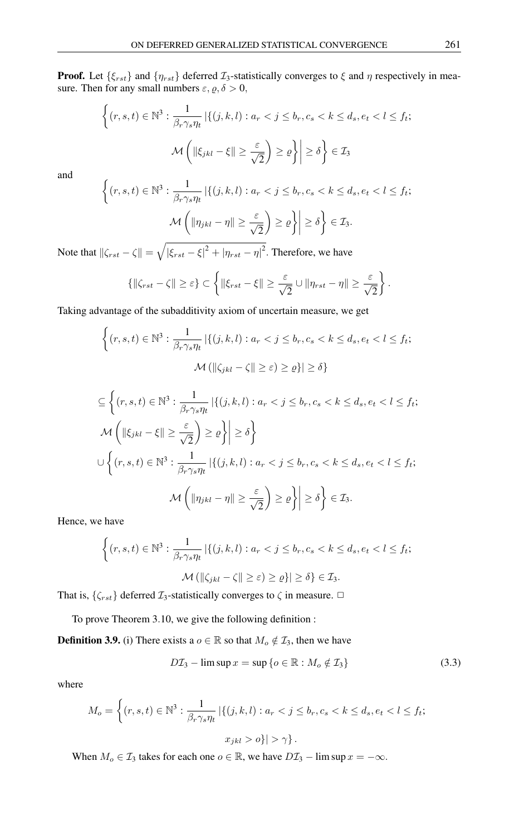**Proof.** Let  $\{\xi_{rst}\}\$  and  $\{\eta_{rst}\}\$  deferred  $\mathcal{I}_3$ -statistically converges to  $\xi$  and  $\eta$  respectively in measure. Then for any small numbers  $\varepsilon$ ,  $\rho$ ,  $\delta > 0$ ,

$$
\left\{ (r, s, t) \in \mathbb{N}^3 : \frac{1}{\beta_r \gamma_s \eta_t} \left| \{ (j, k, l) : a_r < j \le b_r, c_s < k \le d_s, e_t < l \le f_t; \right. \right\}
$$
\n
$$
\mathcal{M} \left( \|\xi_{jkl} - \xi\| \ge \frac{\varepsilon}{\sqrt{2}} \right) \ge \varrho \right\} \ge \delta \right\} \in \mathcal{I}_3
$$

and

$$
\left\{ (r, s, t) \in \mathbb{N}^3 : \frac{1}{\beta_r \gamma_s \eta_t} \left| \left\{ (j, k, l) : a_r < j \le b_r, c_s < k \le d_s, e_t < l \le f_t; \right\} \right| \right\}
$$
\n
$$
\mathcal{M}\left( \|\eta_{jkl} - \eta\| \ge \frac{\varepsilon}{\sqrt{2}} \right) \ge \varrho \right\} \ge \delta \right\} \in \mathcal{I}_3.
$$

Note that  $\|\zeta_{rst} - \zeta\| = \sqrt{|\xi_{rst} - \xi|^2 + |\eta_{rst} - \eta|^2}$ . Therefore, we have

$$
\left\{\left\|\zeta_{rst}-\zeta\right\| \geq \varepsilon\right\} \subset \left\{\left\|\xi_{rst}-\xi\right\| \geq \frac{\varepsilon}{\sqrt{2}} \cup \left\|\eta_{rst}-\eta\right\| \geq \frac{\varepsilon}{\sqrt{2}}\right\}.
$$

Taking advantage of the subadditivity axiom of uncertain measure, we get

$$
\left\{ (r, s, t) \in \mathbb{N}^3 : \frac{1}{\beta_r \gamma_s \eta_t} \left| \{ (j, k, l) : a_r < j \le b_r, c_s < k \le d_s, e_t < l \le f_t; \right. \right. \\ \left. \mathcal{M} \left( \| \zeta_{jkl} - \zeta \| \ge \varepsilon \right) \ge \varrho \} \right| \ge \delta \right\}
$$

$$
\subseteq \left\{ (r, s, t) \in \mathbb{N}^3 : \frac{1}{\beta_r \gamma_s \eta_t} \left| \{ (j, k, l) : a_r < j \le b_r, c_s < k \le d_s, e_t < l \le f_t; \right. \right\}
$$
\n
$$
\mathcal{M} \left( \|\xi_{jkl} - \xi\| \ge \frac{\varepsilon}{\sqrt{2}} \right) \ge \varrho \right\} \ge \delta \right\}
$$
\n
$$
\cup \left\{ (r, s, t) \in \mathbb{N}^3 : \frac{1}{\beta_r \gamma_s \eta_t} \left| \{ (j, k, l) : a_r < j \le b_r, c_s < k \le d_s, e_t < l \le f_t; \right. \right\}
$$
\n
$$
\mathcal{M} \left( \|\eta_{jkl} - \eta\| \ge \frac{\varepsilon}{\sqrt{2}} \right) \ge \varrho \right\} \ge \delta \right\} \in \mathcal{I}_3.
$$

Hence, we have

$$
\begin{aligned} \left\{ (r,s,t) \in \mathbb{N}^3 : \frac{1}{\beta_r \gamma_s \eta_t} \left| \left\{ (j,k,l) : a_r < j \le b_r, c_s < k \le d_s, e_t < l \le f_t; \right. \right. \\ \mathcal{M} \left( \left\| \zeta_{jkl} - \zeta \right\| \ge \varepsilon \right) > \varrho \} \left| \ge \delta \right\} \in \mathcal{I}_3. \end{aligned}
$$

That is,  $\{\zeta_{rst}\}$  deferred  $\mathcal{I}_3$ -statistically converges to  $\zeta$  in measure.  $\Box$ 

To prove Theorem 3.10, we give the following definition :

**Definition 3.9.** (i) There exists a  $o \in \mathbb{R}$  so that  $M_o \notin \mathcal{I}_3$ , then we have

$$
D\mathcal{I}_3 - \limsup x = \sup \{o \in \mathbb{R} : M_o \notin \mathcal{I}_3\}
$$
 (3.3)

where

$$
M_o = \left\{ (r, s, t) \in \mathbb{N}^3 : \frac{1}{\beta_r \gamma_s \eta_t} \left| \left\{ (j, k, l) : a_r < j \le b_r, c_s < k \le d_s, e_t < l \le f_t; \right\} \right| \right\}
$$
\n
$$
x_{jkl} > o \} \left| > \gamma \right\}.
$$

When  $M_o \in \mathcal{I}_3$  takes for each one  $o \in \mathbb{R}$ , we have  $D\mathcal{I}_3$  – lim sup  $x = -\infty$ .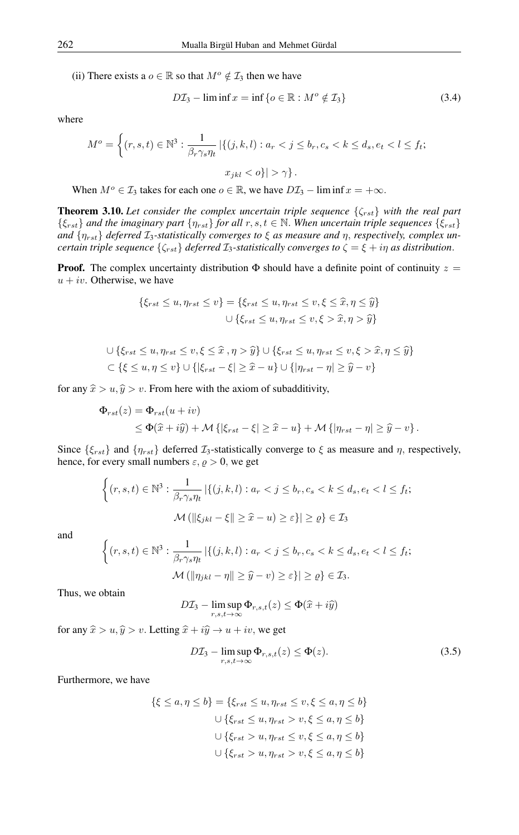(ii) There exists a  $o \in \mathbb{R}$  so that  $M^o \notin \mathcal{I}_3$  then we have

$$
D\mathcal{I}_3 - \liminf x = \inf \{ o \in \mathbb{R} : M^o \notin \mathcal{I}_3 \}
$$
 (3.4)

where

$$
M^{o} = \left\{ (r, s, t) \in \mathbb{N}^{3} : \frac{1}{\beta_r \gamma_s \eta_t} \left| \left\{ (j, k, l) : a_r < j \le b_r, c_s < k \le d_s, e_t < l \le f_t; \right\} \right| \right\}
$$
\n
$$
x_{jkl} < o \right\} | > \gamma \right\}.
$$

When  $M^o \in \mathcal{I}_3$  takes for each one  $o \in \mathbb{R}$ , we have  $D\mathcal{I}_3$  – lim inf  $x = +\infty$ .

**Theorem 3.10.** Let consider the complex uncertain triple sequence  $\{\zeta_{rst}\}$  with the real part  $\{\xi_{rst}\}\$  *and the imaginary part*  $\{\eta_{rst}\}\$  *for all*  $r, s, t \in \mathbb{N}$ . When uncertain triple sequences  $\{\xi_{rst}\}\$ and  $\{\eta_{rst}\}\$  deferred  $\mathcal{I}_3$ -statistically converges to  $\xi$  as measure and  $\eta$ , respectively, complex un*certain triple sequence*  $\{\zeta_{rst}\}\$  *deferred*  $\mathcal{I}_3$ -statistically converges to  $\zeta = \xi + i\eta$  as distribution.

**Proof.** The complex uncertainty distribution  $\Phi$  should have a definite point of continuity  $z =$  $u + iv$ . Otherwise, we have

$$
\{\xi_{rst} \le u, \eta_{rst} \le v\} = \{\xi_{rst} \le u, \eta_{rst} \le v, \xi \le \hat{x}, \eta \le \hat{y}\}
$$

$$
\cup \{\xi_{rst} \le u, \eta_{rst} \le v, \xi > \hat{x}, \eta > \hat{y}\}
$$

$$
\bigcup \{\xi_{rst} \le u, \eta_{rst} \le v, \xi \le \widehat{x}, \eta > \widehat{y}\} \cup \{\xi_{rst} \le u, \eta_{rst} \le v, \xi > \widehat{x}, \eta \le \widehat{y}\}
$$
  

$$
\bigcup \{\xi \le u, \eta \le v\} \cup \{|\xi_{rst} - \xi| \ge \widehat{x} - u\} \cup \{|\eta_{rst} - \eta| \ge \widehat{y} - v\}
$$

for any  $\hat{x} > u$ ,  $\hat{y} > v$ . From here with the axiom of subadditivity,

$$
\Phi_{rst}(z) = \Phi_{rst}(u+iv)
$$
  
\n
$$
\leq \Phi(\hat{x} + i\hat{y}) + \mathcal{M}\left\{ |\xi_{rst} - \xi| \geq \hat{x} - u \right\} + \mathcal{M}\left\{ |\eta_{rst} - \eta| \geq \hat{y} - v \right\}.
$$

Since  $\{\xi_{rst}\}\$  and  $\{\eta_{rst}\}\$  deferred  $\mathcal{I}_3$ -statistically converge to  $\xi$  as measure and  $\eta$ , respectively, hence, for every small numbers  $\varepsilon, \varrho > 0$ , we get

$$
\left\{ (r, s, t) \in \mathbb{N}^3 : \frac{1}{\beta_r \gamma_s \eta_t} \left| \left\{ (j, k, l) : a_r < j \le b_r, c_s < k \le d_s, e_t < l \le f_t; \right\} \right| \right\}
$$
\n
$$
\mathcal{M} \left( \left\| \xi_{jkl} - \xi \right\| \ge \widehat{x} - u \right) \ge \varepsilon \right\} \left| \ge \varrho \right\} \in \mathcal{I}_3
$$

and

$$
\left\{ (r, s, t) \in \mathbb{N}^3 : \frac{1}{\beta_r \gamma_s \eta_t} \left| \left\{ (j, k, l) : a_r < j \le b_r, c_s < k \le d_s, e_t < l \le f_t; \right\} \right| \right\}
$$
\n
$$
\mathcal{M} \left( \| \eta_{jkl} - \eta \| \ge \hat{y} - v \right) \ge \varepsilon \} \left| \ge \varrho \right\} \in \mathcal{I}_3.
$$

Thus, we obtain

$$
D\mathcal{I}_3 - \limsup_{r,s,t \to \infty} \Phi_{r,s,t}(z) \le \Phi(\widehat{x} + i\widehat{y})
$$

for any  $\hat{x} > u$ ,  $\hat{y} > v$ . Letting  $\hat{x} + i\hat{y} \rightarrow u + iv$ , we get

$$
D\mathcal{I}_3 - \limsup_{r,s,t \to \infty} \Phi_{r,s,t}(z) \le \Phi(z). \tag{3.5}
$$

Furthermore, we have

$$
\{\xi \le a, \eta \le b\} = \{\xi_{rst} \le u, \eta_{rst} \le v, \xi \le a, \eta \le b\}
$$

$$
\cup \{\xi_{rst} \le u, \eta_{rst} > v, \xi \le a, \eta \le b\}
$$

$$
\cup \{\xi_{rst} > u, \eta_{rst} \le v, \xi \le a, \eta \le b\}
$$

$$
\cup \{\xi_{rst} > u, \eta_{rst} > v, \xi \le a, \eta \le b\}
$$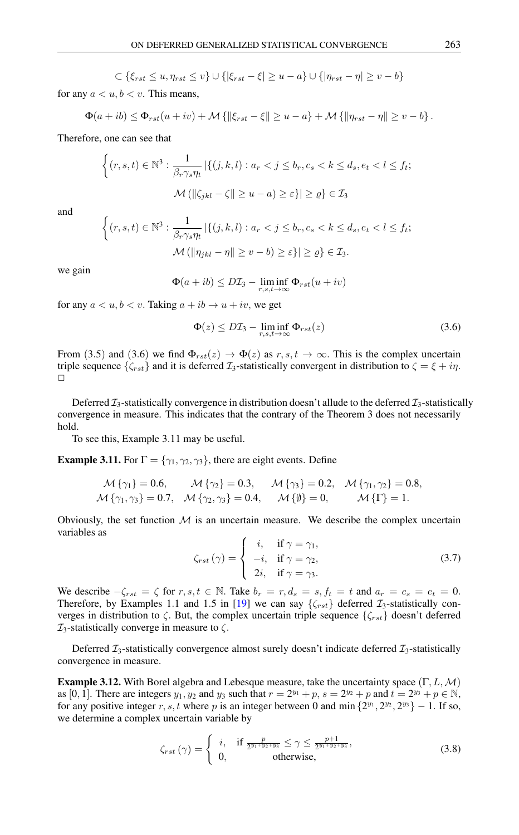$\subset \{\xi_{rst} \le u, \eta_{rst} \le v\}$  ∪  $\{|\xi_{rst} - \xi| \ge u - a\}$  ∪  $\{|\eta_{rst} - \eta| \ge v - b\}$ 

for any  $a < u, b < v$ . This means,

$$
\Phi(a+ib) \leq \Phi_{rst}(u+iv) + \mathcal{M} \{ ||\xi_{rst} - \xi|| \geq u - a \} + \mathcal{M} \{ ||\eta_{rst} - \eta|| \geq v - b \}.
$$

Therefore, one can see that

$$
\begin{aligned} \left\{ (r,s,t) \in \mathbb{N}^3 : \frac{1}{\beta_r \gamma_s \eta_t} \left| \left\{ (j,k,l) : a_r < j \le b_r, c_s < k \le d_s, e_t < l \le f_t; \right\right. \\ \mathcal{M} \left( \left\| \zeta_{jkl} - \zeta \right\| \ge u - a \right) &\ge \varepsilon \right\} \left| \ge \varrho \right\} \in \mathcal{I}_3 \end{aligned}
$$

and

$$
\begin{aligned} \bigg\{(r,s,t)\in\mathbb{N}^3: \frac{1}{\beta_r\gamma_s\eta_t} \left|\{(j,k,l): a_r < j \leq b_r, c_s < k \leq d_s, e_t < l \leq f_t; \\ \mathcal{M} \left(\|\eta_{jkl} - \eta\| \geq v - b\right) &\geq \varepsilon\} \left|\geq \varrho\right\} \in \mathcal{I}_3. \end{aligned}
$$

we gain

$$
\Phi(a+ib) \le D\mathcal{I}_3 - \liminf_{r,s,t \to \infty} \Phi_{rst}(u+iv)
$$

for any  $a < u, b < v$ . Taking  $a + ib \rightarrow u + iv$ , we get

$$
\Phi(z) \le D\mathcal{I}_3 - \liminf_{r,s,t \to \infty} \Phi_{rst}(z) \tag{3.6}
$$

From (3.5) and (3.6) we find  $\Phi_{rst}(z) \to \Phi(z)$  as  $r, s, t \to \infty$ . This is the complex uncertain triple sequence  $\{\zeta_{rst}\}\$  and it is deferred  $\mathcal{I}_3$ -statistically convergent in distribution to  $\zeta = \xi + i\eta$ .  $\Box$ 

Deferred  $\mathcal{I}_3$ -statistically convergence in distribution doesn't allude to the deferred  $\mathcal{I}_3$ -statistically convergence in measure. This indicates that the contrary of the Theorem 3 does not necessarily hold.

To see this, Example 3.11 may be useful.

**Example 3.11.** For  $\Gamma = \{\gamma_1, \gamma_2, \gamma_3\}$ , there are eight events. Define

$$
\mathcal{M}\{\gamma_1\} = 0.6, \qquad \mathcal{M}\{\gamma_2\} = 0.3, \qquad \mathcal{M}\{\gamma_3\} = 0.2, \quad \mathcal{M}\{\gamma_1, \gamma_2\} = 0.8, \n\mathcal{M}\{\gamma_1, \gamma_3\} = 0.7, \quad \mathcal{M}\{\gamma_2, \gamma_3\} = 0.4, \qquad \mathcal{M}\{\emptyset\} = 0, \qquad \mathcal{M}\{\Gamma\} = 1.
$$

Obviously, the set function  $M$  is an uncertain measure. We describe the complex uncertain variables as

$$
\zeta_{rst}(\gamma) = \begin{cases}\n i, & \text{if } \gamma = \gamma_1, \\
 -i, & \text{if } \gamma = \gamma_2, \\
 2i, & \text{if } \gamma = \gamma_3.\n\end{cases}
$$
\n(3.7)

We describe  $-\zeta_{rst} = \zeta$  for  $r, s, t \in \mathbb{N}$ . Take  $b_r = r, d_s = s, f_t = t$  and  $a_r = c_s = e_t = 0$ . Therefore, by Examples 1.1 and 1.5 in [\[19\]](#page-11-0) we can say  $\{\zeta_{rst}\}$  deferred  $\mathcal{I}_3$ -statistically converges in distribution to  $\zeta$ . But, the complex uncertain triple sequence  $\{\zeta_{rst}\}$  doesn't deferred  $\mathcal{I}_3$ -statistically converge in measure to  $\zeta$ .

Deferred  $\mathcal{I}_3$ -statistically convergence almost surely doesn't indicate deferred  $\mathcal{I}_3$ -statistically convergence in measure.

**Example 3.12.** With Borel algebra and Lebesque measure, take the uncertainty space  $(\Gamma, L, \mathcal{M})$ as [0, 1]. There are integers  $y_1, y_2$  and  $y_3$  such that  $r = 2^{y_1} + p$ ,  $s = 2^{y_2} + p$  and  $t = 2^{y_3} + p \in \mathbb{N}$ , for any positive integer r, s, t where p is an integer between 0 and min  $\{2^{y_1}, 2^{y_2}, 2^{y_3}\} - 1$ . If so, we determine a complex uncertain variable by

$$
\zeta_{rst}\left(\gamma\right) = \begin{cases} i, & \text{if } \frac{p}{2^{y_1 + y_2 + y_3}} \le \gamma \le \frac{p+1}{2^{y_1 + y_2 + y_3}},\\ 0, & \text{otherwise}, \end{cases}
$$
\n
$$
(3.8)
$$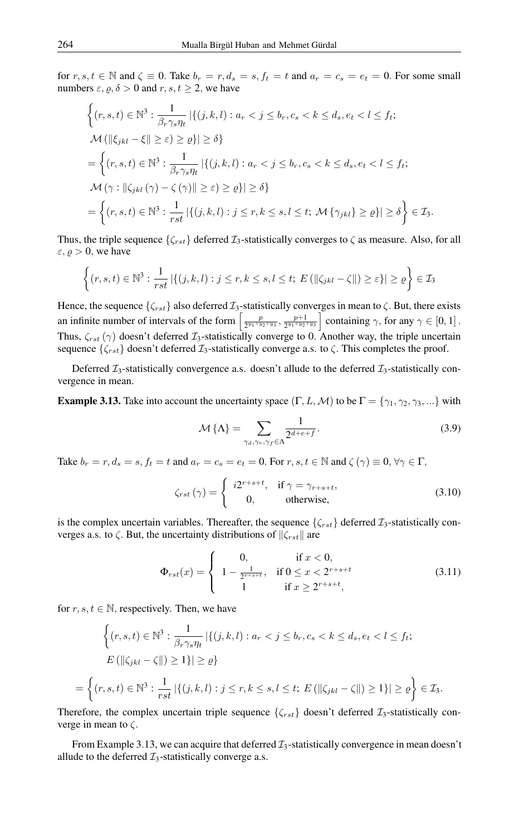for  $r, s, t \in \mathbb{N}$  and  $\zeta \equiv 0$ . Take  $b_r = r, d_s = s, f_t = t$  and  $a_r = c_s = e_t = 0$ . For some small numbers  $\varepsilon$ ,  $\rho$ ,  $\delta > 0$  and  $r$ ,  $s$ ,  $t \ge 2$ , we have

$$
\begin{aligned}\n\left\{(r,s,t)\in\mathbb{N}^3:\frac{1}{\beta_r\gamma_s\eta_t} \left|\{(j,k,l):a_r < j \le b_r, c_s < k \le d_s, e_t < l \le f_t; \right.\right. \\
\left.\mathcal{M}\left(\|\xi_{jkl} - \xi\| \ge \varepsilon\right) &\ge \varrho\}\right| &\ge \delta\right\} \\
&= \left\{(r,s,t)\in\mathbb{N}^3:\frac{1}{\beta_r\gamma_s\eta_t} \left|\{(j,k,l):a_r < j \le b_r, c_s < k \le d_s, e_t < l \le f_t; \right.\right. \\
\left.\mathcal{M}\left(\gamma: \|\zeta_{jkl}\left(\gamma\right) - \zeta\left(\gamma\right)\|\ge \varepsilon\right) &\ge \varrho\}\right| &\ge \delta\right\} \\
&= \left\{(r,s,t)\in\mathbb{N}^3:\frac{1}{rst} \left|\{(j,k,l):j\le r,k \le s,l \le t; \mathcal{M}\{\gamma_{jkl}\}\ge \varrho\}\right| \ge \delta\right\} \in \mathcal{I}_3.\n\end{aligned}
$$

Thus, the triple sequence  $\{\zeta_{rst}\}$  deferred  $\mathcal{I}_3$ -statistically converges to  $\zeta$  as measure. Also, for all  $\varepsilon, \varrho > 0$ , we have

$$
\left\{(r,s,t)\in\mathbb{N}^3:\frac{1}{rst}\left|\{(j,k,l):j\leq r,k\leq s,l\leq t;\ E\left(\left\|\zeta_{jkl}-\zeta\right\|\right)\geq\varepsilon\right\}\right|\geq\varrho\right\}\in\mathcal{I}_3
$$

Hence, the sequence  $\{\zeta_{rst}\}$  also deferred  $\mathcal{I}_3$ -statistically converges in mean to  $\zeta$ . But, there exists an infinite number of intervals of the form  $\left[\frac{p}{2y_1+y_2}\right]$  $\frac{p}{2^{y_1+y_2+y_3}}, \frac{p+1}{2^{y_1+y_2}}$  $\left[\frac{p+1}{2^{y_1+y_2+y_3}}\right]$  containing  $\gamma$ , for any  $\gamma \in [0,1]$ . Thus,  $\zeta_{rst}(\gamma)$  doesn't deferred  $\mathcal{I}_3$ -statistically converge to 0. Another way, the triple uncertain sequence  $\{\zeta_{rst}\}$  doesn't deferred  $\mathcal{I}_3$ -statistically converge a.s. to  $\zeta$ . This completes the proof.

Deferred  $\mathcal{I}_3$ -statistically convergence a.s. doesn't allude to the deferred  $\mathcal{I}_3$ -statistically convergence in mean.

**Example 3.13.** Take into account the uncertainty space  $(\Gamma, L, \mathcal{M})$  to be  $\Gamma = \{\gamma_1, \gamma_2, \gamma_3, ...\}$  with

$$
\mathcal{M}\left\{\Lambda\right\} = \sum_{\gamma_d,\gamma_e,\gamma_f \in \Lambda} \frac{1}{2^{d+e+f}}.\tag{3.9}
$$

Take  $b_r = r, d_s = s, f_t = t$  and  $a_r = c_s = e_t = 0$ . For  $r, s, t \in \mathbb{N}$  and  $\zeta(\gamma) \equiv 0, \forall \gamma \in \Gamma$ ,

$$
\zeta_{rst}(\gamma) = \begin{cases}\ni 2^{r+s+t}, & \text{if } \gamma = \gamma_{r+s+t}, \\
0, & \text{otherwise},\n\end{cases}
$$
\n(3.10)

is the complex uncertain variables. Thereafter, the sequence  $\{\zeta_{rst}\}$  deferred  $\mathcal{I}_3$ -statistically converges a.s. to  $\zeta$ . But, the uncertainty distributions of  $\|\zeta_{rst}\|$  are

$$
\Phi_{rst}(x) = \begin{cases}\n0, & \text{if } x < 0, \\
1 - \frac{1}{2^{r+s+t}}, & \text{if } 0 \le x < 2^{r+s+t} \\
1 & \text{if } x \ge 2^{r+s+t},\n\end{cases}
$$
\n(3.11)

for  $r, s, t \in \mathbb{N}$ , respectively. Then, we have

$$
\left\{ (r, s, t) \in \mathbb{N}^3 : \frac{1}{\beta_r \gamma_s \eta_t} \left| \{ (j, k, l) : a_r < j \le b_r, c_s < k \le d_s, e_t < l \le f_t; \right. \right. \\ \left. E\left( \left\| \zeta_{jkl} - \zeta \right\| \right) \ge 1 \right\} \right| \ge \varrho \right\}
$$
\n
$$
= \left\{ (r, s, t) \in \mathbb{N}^3 : \frac{1}{rst} \left| \{ (j, k, l) : j \le r, k \le s, l \le t; \ E\left( \left\| \zeta_{jkl} - \zeta \right\| \right) \ge 1 \right\} \right| \ge \varrho \right\} \in \mathcal{I}_3.
$$

Therefore, the complex uncertain triple sequence  $\{\zeta_{rst}\}$  doesn't deferred  $\mathcal{I}_3$ -statistically converge in mean to  $\zeta$ .

From Example 3.13, we can acquire that deferred  $\mathcal{I}_3$ -statistically convergence in mean doesn't allude to the deferred  $\mathcal{I}_3$ -statistically converge a.s.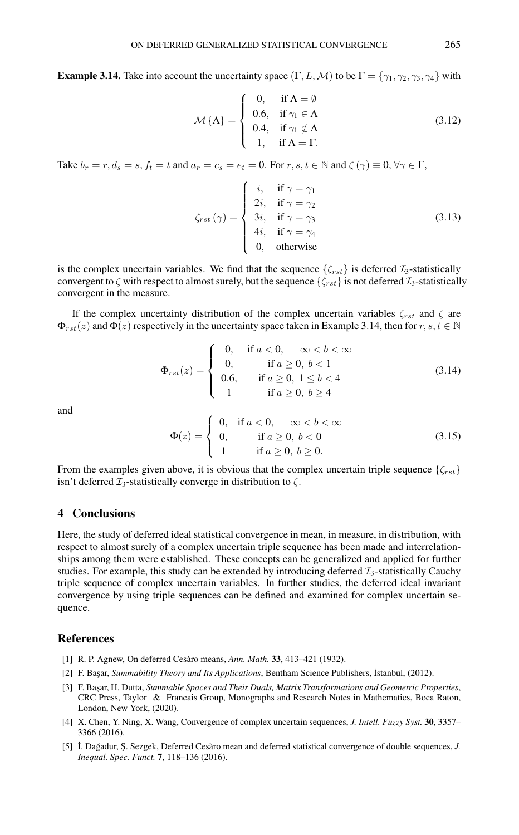**Example 3.14.** Take into account the uncertainty space  $(\Gamma, L, \mathcal{M})$  to be  $\Gamma = \{\gamma_1, \gamma_2, \gamma_3, \gamma_4\}$  with

$$
\mathcal{M}\{\Lambda\} = \begin{cases}\n0, & \text{if } \Lambda = \emptyset \\
0.6, & \text{if } \gamma_1 \in \Lambda \\
0.4, & \text{if } \gamma_1 \notin \Lambda \\
1, & \text{if } \Lambda = \Gamma.\n\end{cases}
$$
\n(3.12)

Take  $b_r = r, d_s = s, f_t = t$  and  $a_r = c_s = e_t = 0$ . For  $r, s, t \in \mathbb{N}$  and  $\zeta(\gamma) \equiv 0, \forall \gamma \in \Gamma$ ,

$$
\zeta_{rst}(\gamma) = \begin{cases}\ni, & \text{if } \gamma = \gamma_1 \\
2i, & \text{if } \gamma = \gamma_2 \\
3i, & \text{if } \gamma = \gamma_3 \\
4i, & \text{if } \gamma = \gamma_4 \\
0, & \text{otherwise}\n\end{cases}
$$
\n(3.13)

is the complex uncertain variables. We find that the sequence  $\{\zeta_{rst}\}\$ is deferred  $\mathcal{I}_3$ -statistically convergent to  $\zeta$  with respect to almost surely, but the sequence  $\{\zeta_{rst}\}$  is not deferred  $\mathcal{I}_3$ -statistically convergent in the measure.

If the complex uncertainty distribution of the complex uncertain variables  $\zeta_{rst}$  and  $\zeta$  are  $\Phi_{rst}(z)$  and  $\Phi(z)$  respectively in the uncertainty space taken in Example 3.14, then for  $r, s, t \in \mathbb{N}$ 

$$
\Phi_{rst}(z) = \begin{cases}\n0, & \text{if } a < 0, \ -\infty < b < \infty \\
0, & \text{if } a \ge 0, \ b < 1 \\
0.6, & \text{if } a \ge 0, \ 1 \le b < 4 \\
1 & \text{if } a \ge 0, \ b \ge 4\n\end{cases} \tag{3.14}
$$

and

$$
\Phi(z) = \begin{cases}\n0, & \text{if } a < 0, \ -\infty < b < \infty \\
0, & \text{if } a \ge 0, \ b < 0 \\
1 & \text{if } a \ge 0, \ b \ge 0.\n\end{cases}
$$
\n(3.15)

From the examples given above, it is obvious that the complex uncertain triple sequence  $\{\zeta_{rst}\}$ isn't deferred  $\mathcal{I}_3$ -statistically converge in distribution to  $\zeta$ .

## 4 Conclusions

Here, the study of deferred ideal statistical convergence in mean, in measure, in distribution, with respect to almost surely of a complex uncertain triple sequence has been made and interrelationships among them were established. These concepts can be generalized and applied for further studies. For example, this study can be extended by introducing deferred  $\mathcal{I}_3$ -statistically Cauchy triple sequence of complex uncertain variables. In further studies, the deferred ideal invariant convergence by using triple sequences can be defined and examined for complex uncertain sequence.

### <span id="page-10-0"></span>References

- <span id="page-10-4"></span>[1] R. P. Agnew, On deferred Cesàro means, *Ann. Math.* 33, 413–421 (1932).
- <span id="page-10-2"></span>[2] F. Ba¸sar, *Summability Theory and Its Applications*, Bentham Science Publishers, ˙Istanbul, (2012).
- <span id="page-10-3"></span>[3] F. Başar, H. Dutta, *Summable Spaces and Their Duals, Matrix Transformations and Geometric Properties*, CRC Press, Taylor & Francais Group, Monographs and Research Notes in Mathematics, Boca Raton, London, New York, (2020).
- <span id="page-10-1"></span>[4] X. Chen, Y. Ning, X. Wang, Convergence of complex uncertain sequences, *J. Intell. Fuzzy Syst.* 30, 3357– 3366 (2016).
- <span id="page-10-5"></span>[5]  $\dot{I}$ . Dağadur, Ş. Sezgek, Deferred Cesàro mean and deferred statistical convergence of double sequences, *J. Inequal. Spec. Funct.* 7, 118–136 (2016).